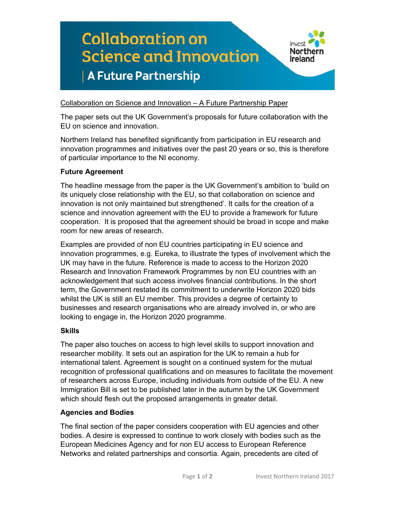# **Collaboration on** Invest **Northern Science and Innovation** Ireland A Future Partnership

Collaboration on Science and Innovation – A Future Partnership Paper

The paper sets out the UK Government's proposals for future collaboration with the EU on science and innovation.

Northern Ireland has benefited significantly from participation in EU research and innovation programmes and initiatives over the past 20 years or so, this is therefore of particular importance to the NI economy.

## **Future Agreement**

The headline message from the paper is the UK Government's ambition to 'build on its uniquely close relationship with the EU, so that collaboration on science and innovation is not only maintained but strengthened'. It calls for the creation of a science and innovation agreement with the EU to provide a framework for future cooperation. It is proposed that the agreement should be broad in scope and make room for new areas of research.

Examples are provided of non EU countries participating in EU science and innovation programmes, e.g. Eureka, to illustrate the types of involvement which the UK may have in the future. Reference is made to access to the Horizon 2020 Research and Innovation Framework Programmes by non EU countries with an acknowledgement that such access involves financial contributions. In the short term, the Government restated its commitment to underwrite Horizon 2020 bids whilst the UK is still an EU member. This provides a degree of certainty to businesses and research organisations who are already involved in, or who are looking to engage in, the Horizon 2020 programme.

#### **Skills**

The paper also touches on access to high level skills to support innovation and researcher mobility. It sets out an aspiration for the UK to remain a hub for international talent. Agreement is sought on a continued system for the mutual recognition of professional qualifications and on measures to facilitate the movement of researchers across Europe, including individuals from outside of the EU. A new Immigration Bill is set to be published later in the autumn by the UK Government which should flesh out the proposed arrangements in greater detail.

#### **Agencies and Bodies**

The final section of the paper considers cooperation with EU agencies and other bodies. A desire is expressed to continue to work closely with bodies such as the European Medicines Agency and for non EU access to European Reference Networks and related partnerships and consortia. Again, precedents are cited of